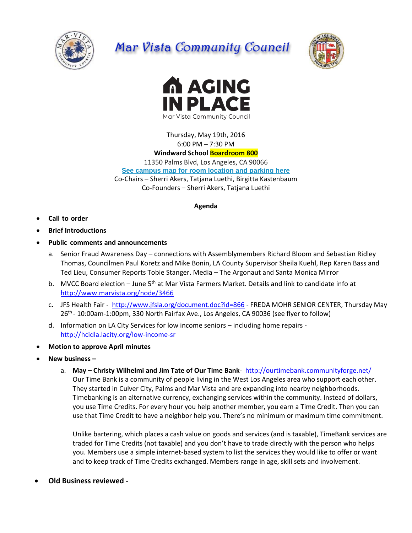

## Mar Vista Community Council





Thursday, May 19th, 2016 6:00 PM – 7:30 PM

## **Windward School Boardroom 800**

11350 Palms Blvd, Los Angeles, CA 90066 **[See campus map for room location and parking here](https://windwardschool.myschoolapp.com/ftpimages/176/download/download_1671327.pdf)**

Co-Chairs – Sherri Akers, Tatjana Luethi, Birgitta Kastenbaum Co-Founders – Sherri Akers, Tatjana Luethi

## **Agenda**

- **Call to order**
- **Brief Introductions**
- **Public comments and announcements**
	- a. Senior Fraud Awareness Day connections with Assemblymembers Richard Bloom and Sebastian Ridley Thomas, Councilmen Paul Koretz and Mike Bonin, LA County Supervisor Sheila Kuehl, Rep Karen Bass and Ted Lieu, Consumer Reports Tobie Stanger. Media – The Argonaut and Santa Monica Mirror
	- b. MVCC Board election June 5<sup>th</sup> at Mar Vista Farmers Market. Details and link to candidate info at <http://www.marvista.org/node/3466>
	- c. JFS Health Fair <http://www.jfsla.org/document.doc?id=866> FREDA MOHR SENIOR CENTER, Thursday May 26<sup>th</sup> - 10:00am-1:00pm, 330 North Fairfax Ave., Los Angeles, CA 90036 (see flyer to follow)
	- d. Information on LA City Services for low income seniors including home repairs <http://hcidla.lacity.org/low-income-sr>
- **Motion to approve April minutes**
- **New business –**
	- a. **May – Christy Wilhelmi and Jim Tate of Our Time Bank**-<http://ourtimebank.communityforge.net/> Our Time Bank is a community of people living in the West Los Angeles area who support each other. They started in Culver City, Palms and Mar Vista and are expanding into nearby neighborhoods. Timebanking is an alternative currency, exchanging services within the community. Instead of dollars, you use Time Credits. For every hour you help another member, you earn a Time Credit. Then you can use that Time Credit to have a neighbor help you. There's no minimum or maximum time commitment.

Unlike bartering, which places a cash value on goods and services (and is taxable), TimeBank services are traded for Time Credits (not taxable) and you don't have to trade directly with the person who helps you. Members use a simple internet-based system to list the services they would like to offer or want and to keep track of Time Credits exchanged. Members range in age, skill sets and involvement.

**Old Business reviewed -**